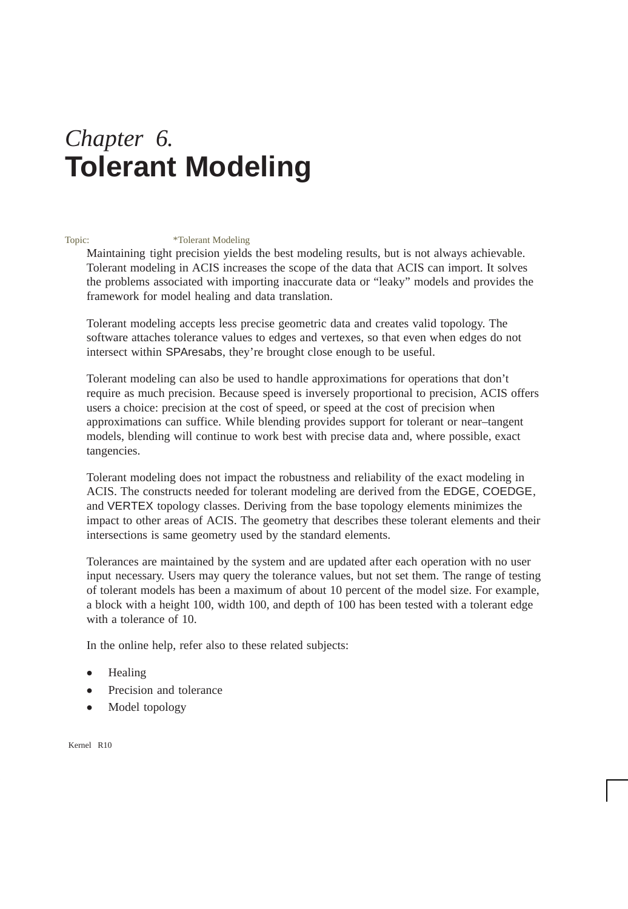# *Chapter 6.* **Tolerant Modeling**

#### Topic: \*Tolerant Modeling

Maintaining tight precision yields the best modeling results, but is not always achievable. Tolerant modeling in ACIS increases the scope of the data that ACIS can import. It solves the problems associated with importing inaccurate data or "leaky" models and provides the framework for model healing and data translation.

Tolerant modeling accepts less precise geometric data and creates valid topology. The software attaches tolerance values to edges and vertexes, so that even when edges do not intersect within SPAresabs, they're brought close enough to be useful.

Tolerant modeling can also be used to handle approximations for operations that don't require as much precision. Because speed is inversely proportional to precision, ACIS offers users a choice: precision at the cost of speed, or speed at the cost of precision when approximations can suffice. While blending provides support for tolerant or near–tangent models, blending will continue to work best with precise data and, where possible, exact tangencies.

Tolerant modeling does not impact the robustness and reliability of the exact modeling in ACIS. The constructs needed for tolerant modeling are derived from the EDGE, COEDGE, and VERTEX topology classes. Deriving from the base topology elements minimizes the impact to other areas of ACIS. The geometry that describes these tolerant elements and their intersections is same geometry used by the standard elements.

Tolerances are maintained by the system and are updated after each operation with no user input necessary. Users may query the tolerance values, but not set them. The range of testing of tolerant models has been a maximum of about 10 percent of the model size. For example, a block with a height 100, width 100, and depth of 100 has been tested with a tolerant edge with a tolerance of 10.

In the online help, refer also to these related subjects:

- $\bullet$ Healing
- $\bullet$ Precision and tolerance
- $\bullet$ Model topology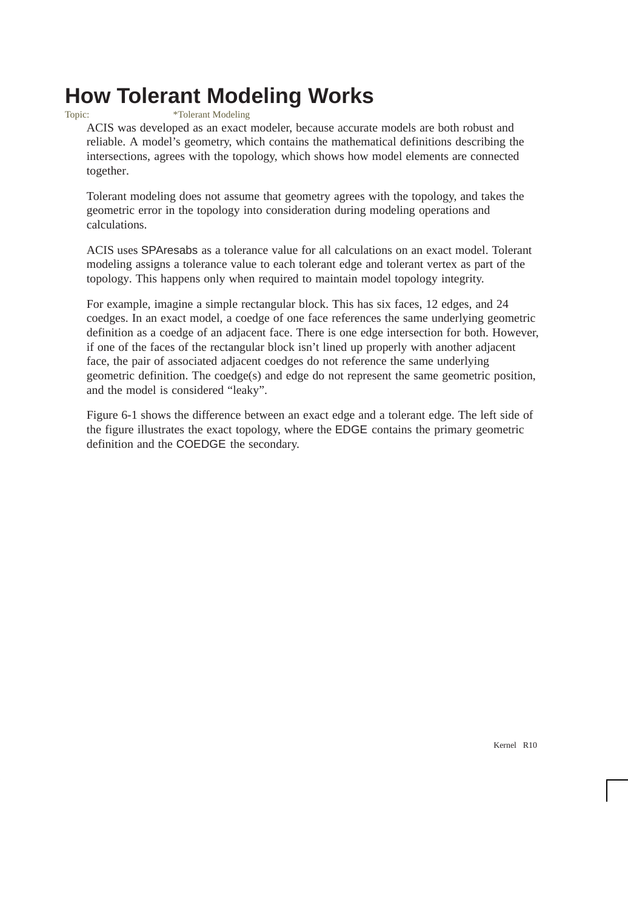# **How Tolerant Modeling Works**

#### Topic: \*Tolerant Modeling

ACIS was developed as an exact modeler, because accurate models are both robust and reliable. A model's geometry, which contains the mathematical definitions describing the intersections, agrees with the topology, which shows how model elements are connected together.

Tolerant modeling does not assume that geometry agrees with the topology, and takes the geometric error in the topology into consideration during modeling operations and calculations.

ACIS uses SPAresabs as a tolerance value for all calculations on an exact model. Tolerant modeling assigns a tolerance value to each tolerant edge and tolerant vertex as part of the topology. This happens only when required to maintain model topology integrity.

For example, imagine a simple rectangular block. This has six faces, 12 edges, and 24 coedges. In an exact model, a coedge of one face references the same underlying geometric definition as a coedge of an adjacent face. There is one edge intersection for both. However, if one of the faces of the rectangular block isn't lined up properly with another adjacent face, the pair of associated adjacent coedges do not reference the same underlying geometric definition. The coedge(s) and edge do not represent the same geometric position, and the model is considered "leaky".

Figure 6-1 shows the difference between an exact edge and a tolerant edge. The left side of the figure illustrates the exact topology, where the EDGE contains the primary geometric definition and the COEDGE the secondary.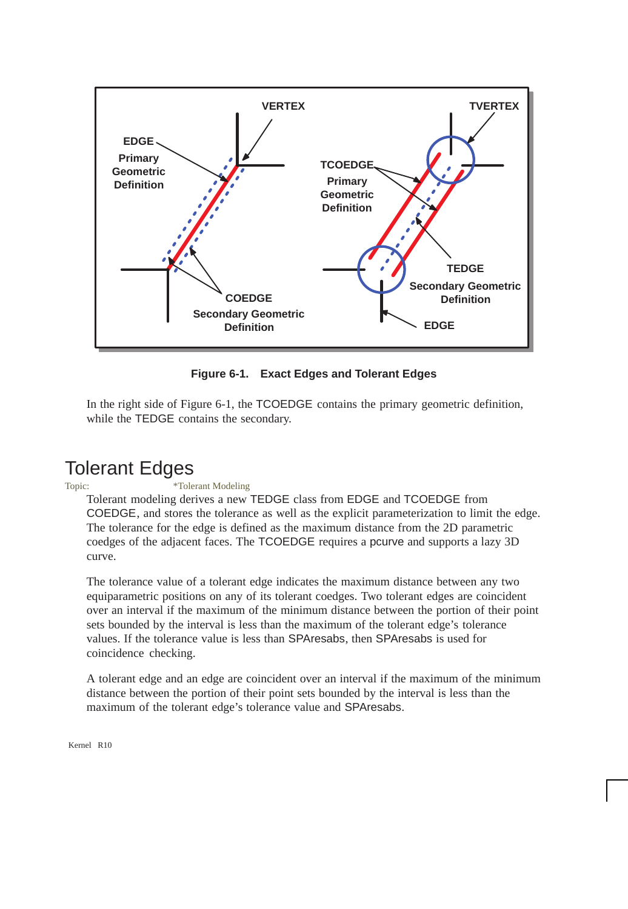

**Figure 6-1. Exact Edges and Tolerant Edges**

In the right side of Figure 6-1, the TCOEDGE contains the primary geometric definition, while the TEDGE contains the secondary.

### Tolerant Edges

#### Topic: \*Tolerant Modeling

Tolerant modeling derives a new TEDGE class from EDGE and TCOEDGE from COEDGE, and stores the tolerance as well as the explicit parameterization to limit the edge. The tolerance for the edge is defined as the maximum distance from the 2D parametric coedges of the adjacent faces. The TCOEDGE requires a pcurve and supports a lazy 3D curve.

The tolerance value of a tolerant edge indicates the maximum distance between any two equiparametric positions on any of its tolerant coedges. Two tolerant edges are coincident over an interval if the maximum of the minimum distance between the portion of their point sets bounded by the interval is less than the maximum of the tolerant edge's tolerance values. If the tolerance value is less than SPAresabs, then SPAresabs is used for coincidence checking.

A tolerant edge and an edge are coincident over an interval if the maximum of the minimum distance between the portion of their point sets bounded by the interval is less than the maximum of the tolerant edge's tolerance value and SPAresabs.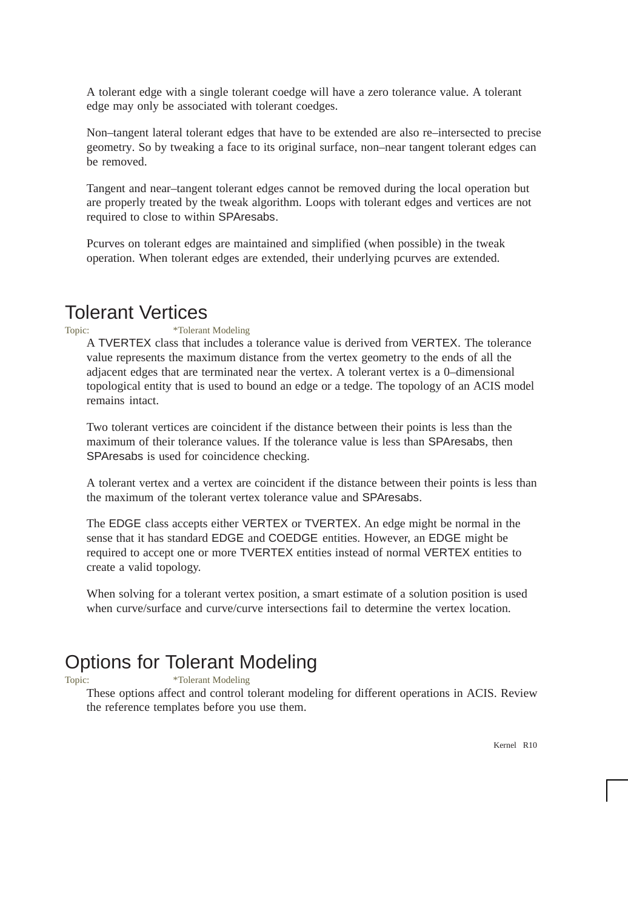A tolerant edge with a single tolerant coedge will have a zero tolerance value. A tolerant edge may only be associated with tolerant coedges.

Non–tangent lateral tolerant edges that have to be extended are also re–intersected to precise geometry. So by tweaking a face to its original surface, non–near tangent tolerant edges can be removed.

Tangent and near–tangent tolerant edges cannot be removed during the local operation but are properly treated by the tweak algorithm. Loops with tolerant edges and vertices are not required to close to within SPAresabs.

Pcurves on tolerant edges are maintained and simplified (when possible) in the tweak operation. When tolerant edges are extended, their underlying pcurves are extended.

### Tolerant Vertices

#### Topic: \*Tolerant Modeling

A TVERTEX class that includes a tolerance value is derived from VERTEX. The tolerance value represents the maximum distance from the vertex geometry to the ends of all the adjacent edges that are terminated near the vertex. A tolerant vertex is a 0–dimensional topological entity that is used to bound an edge or a tedge. The topology of an ACIS model remains intact.

Two tolerant vertices are coincident if the distance between their points is less than the maximum of their tolerance values. If the tolerance value is less than SPAresabs, then SPAresabs is used for coincidence checking.

A tolerant vertex and a vertex are coincident if the distance between their points is less than the maximum of the tolerant vertex tolerance value and SPAresabs.

The EDGE class accepts either VERTEX or TVERTEX. An edge might be normal in the sense that it has standard EDGE and COEDGE entities. However, an EDGE might be required to accept one or more TVERTEX entities instead of normal VERTEX entities to create a valid topology.

When solving for a tolerant vertex position, a smart estimate of a solution position is used when curve/surface and curve/curve intersections fail to determine the vertex location.

### Options for Tolerant Modeling

#### Topic:  $*Tolerant Modeling$

These options affect and control tolerant modeling for different operations in ACIS. Review the reference templates before you use them.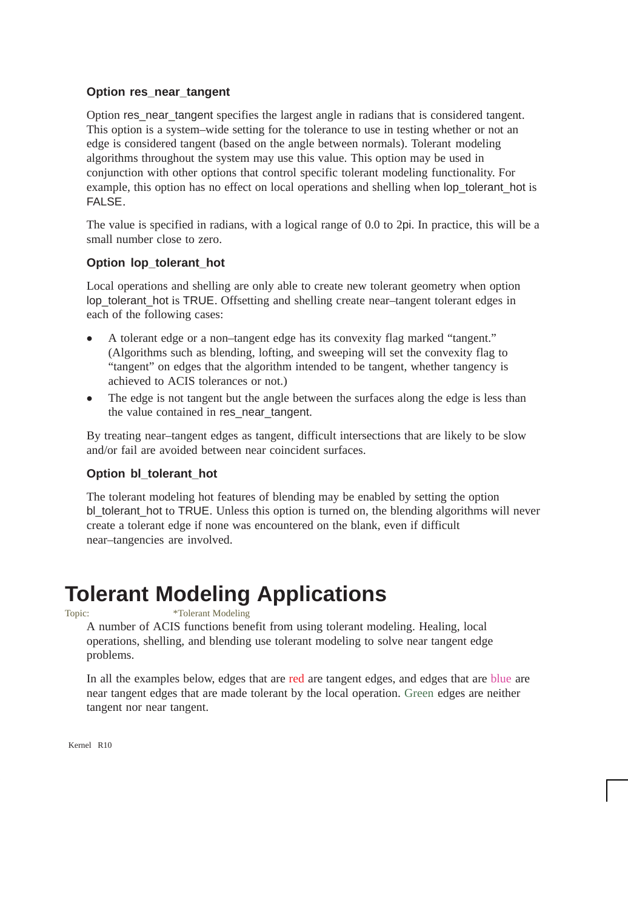#### **Option res\_near\_tangent**

Option res\_near\_tangent specifies the largest angle in radians that is considered tangent. This option is a system–wide setting for the tolerance to use in testing whether or not an edge is considered tangent (based on the angle between normals). Tolerant modeling algorithms throughout the system may use this value. This option may be used in conjunction with other options that control specific tolerant modeling functionality. For example, this option has no effect on local operations and shelling when lop\_tolerant\_hot is FALSE.

The value is specified in radians, with a logical range of 0.0 to 2pi. In practice, this will be a small number close to zero.

#### **Option lop\_tolerant\_hot**

Local operations and shelling are only able to create new tolerant geometry when option lop\_tolerant\_hot is TRUE. Offsetting and shelling create near–tangent tolerant edges in each of the following cases:

- $\bullet$  A tolerant edge or a non–tangent edge has its convexity flag marked "tangent." (Algorithms such as blending, lofting, and sweeping will set the convexity flag to "tangent" on edges that the algorithm intended to be tangent, whether tangency is achieved to ACIS tolerances or not.)
- $\bullet$  The edge is not tangent but the angle between the surfaces along the edge is less than the value contained in res\_near\_tangent.

By treating near–tangent edges as tangent, difficult intersections that are likely to be slow and/or fail are avoided between near coincident surfaces.

#### **Option bl\_tolerant\_hot**

The tolerant modeling hot features of blending may be enabled by setting the option bl\_tolerant\_hot to TRUE. Unless this option is turned on, the blending algorithms will never create a tolerant edge if none was encountered on the blank, even if difficult near–tangencies are involved.

# **Tolerant Modeling Applications**

Topic: \*Tolerant Modeling

A number of ACIS functions benefit from using tolerant modeling. Healing, local operations, shelling, and blending use tolerant modeling to solve near tangent edge problems.

In all the examples below, edges that are red are tangent edges, and edges that are blue are near tangent edges that are made tolerant by the local operation. Green edges are neither tangent nor near tangent.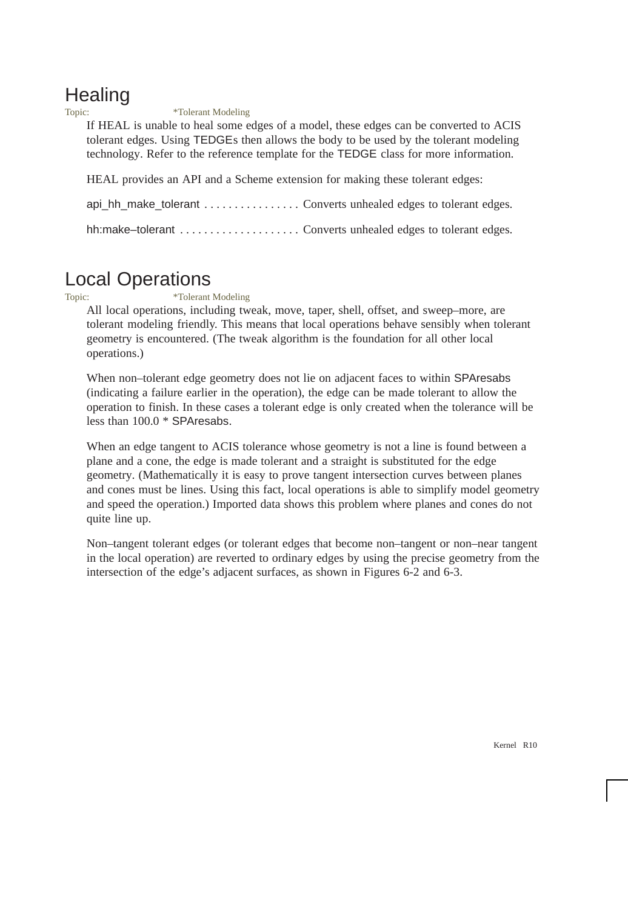# **Healing**

Topic: \*Tolerant Modeling

If HEAL is unable to heal some edges of a model, these edges can be converted to ACIS tolerant edges. Using TEDGEs then allows the body to be used by the tolerant modeling technology. Refer to the reference template for the TEDGE class for more information.

HEAL provides an API and a Scheme extension for making these tolerant edges:

api\_hh\_make\_tolerant . . . . . . . . . . . . . . . . Converts unhealed edges to tolerant edges.

hh:make–tolerant . . . . . . . . . . . . . . . . . . . . Converts unhealed edges to tolerant edges.

### Local Operations

Topic: \*Tolerant Modeling

All local operations, including tweak, move, taper, shell, offset, and sweep–more, are tolerant modeling friendly. This means that local operations behave sensibly when tolerant geometry is encountered. (The tweak algorithm is the foundation for all other local operations.)

When non–tolerant edge geometry does not lie on adjacent faces to within SPAresabs (indicating a failure earlier in the operation), the edge can be made tolerant to allow the operation to finish. In these cases a tolerant edge is only created when the tolerance will be less than 100.0 \* SPAresabs.

When an edge tangent to ACIS tolerance whose geometry is not a line is found between a plane and a cone, the edge is made tolerant and a straight is substituted for the edge geometry. (Mathematically it is easy to prove tangent intersection curves between planes and cones must be lines. Using this fact, local operations is able to simplify model geometry and speed the operation.) Imported data shows this problem where planes and cones do not quite line up.

Non–tangent tolerant edges (or tolerant edges that become non–tangent or non–near tangent in the local operation) are reverted to ordinary edges by using the precise geometry from the intersection of the edge's adjacent surfaces, as shown in Figures 6-2 and 6-3.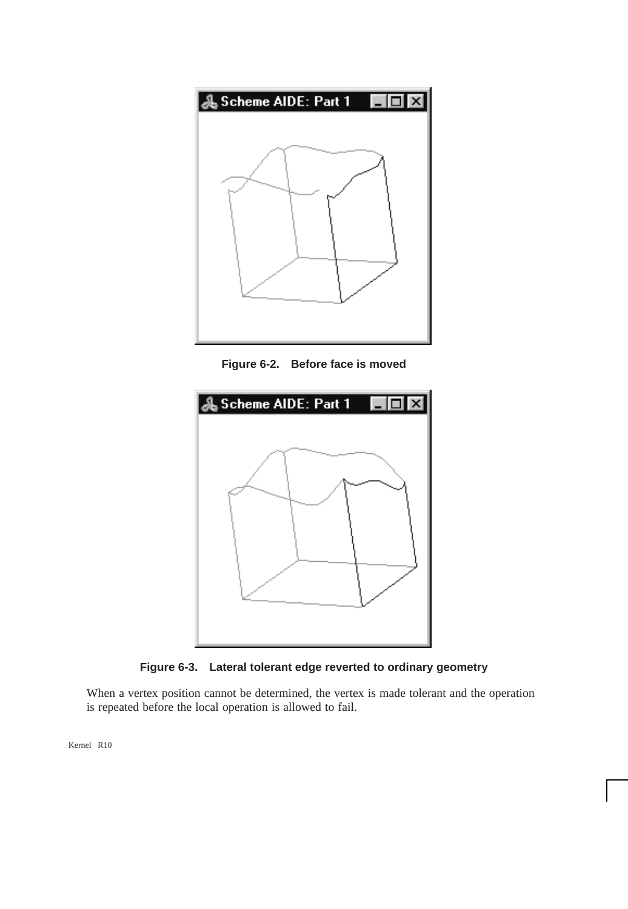

**Figure 6-2. Before face is moved**





When a vertex position cannot be determined, the vertex is made tolerant and the operation is repeated before the local operation is allowed to fail.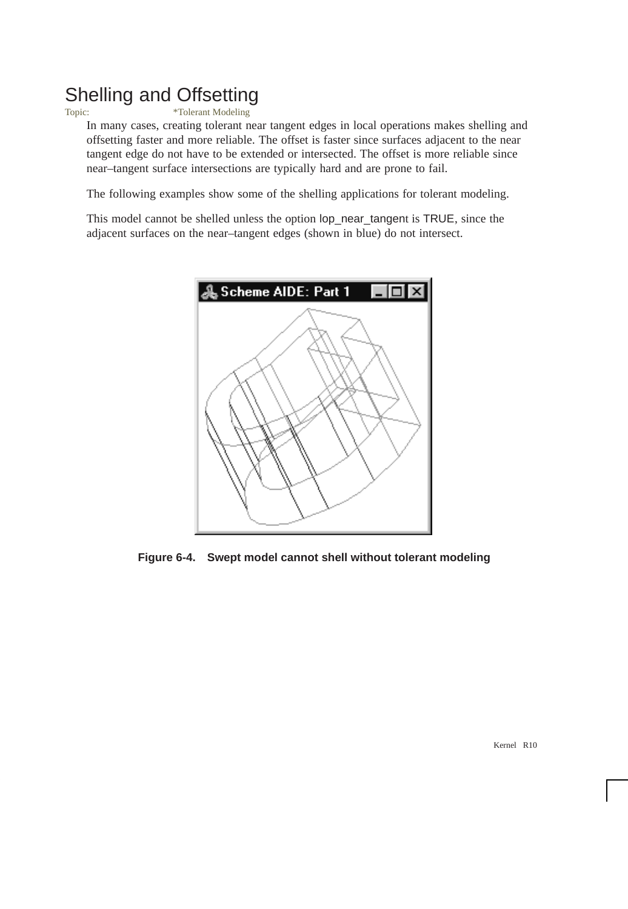### Shelling and Offsetting

Topic: \*Tolerant Modeling

In many cases, creating tolerant near tangent edges in local operations makes shelling and offsetting faster and more reliable. The offset is faster since surfaces adjacent to the near tangent edge do not have to be extended or intersected. The offset is more reliable since near–tangent surface intersections are typically hard and are prone to fail.

The following examples show some of the shelling applications for tolerant modeling.

This model cannot be shelled unless the option lop\_near\_tangent is TRUE, since the adjacent surfaces on the near–tangent edges (shown in blue) do not intersect.



**Figure 6-4. Swept model cannot shell without tolerant modeling**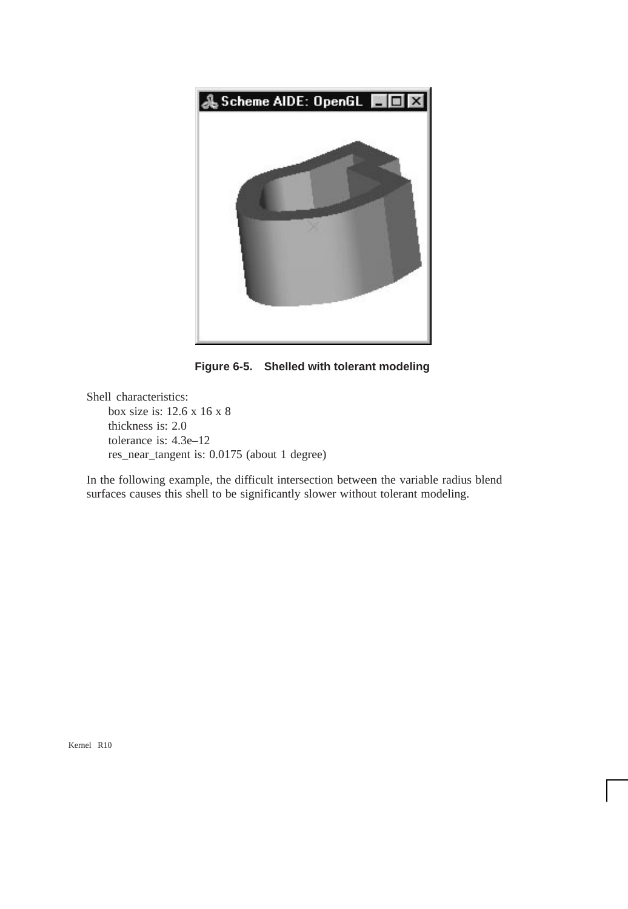

**Figure 6-5. Shelled with tolerant modeling** 

Shell characteristics: box size is: 12.6 x 16 x 8 thickness is: 2.0 tolerance is: 4.3e–12 res\_near\_tangent is: 0.0175 (about 1 degree)

In the following example, the difficult intersection between the variable radius blend surfaces causes this shell to be significantly slower without tolerant modeling.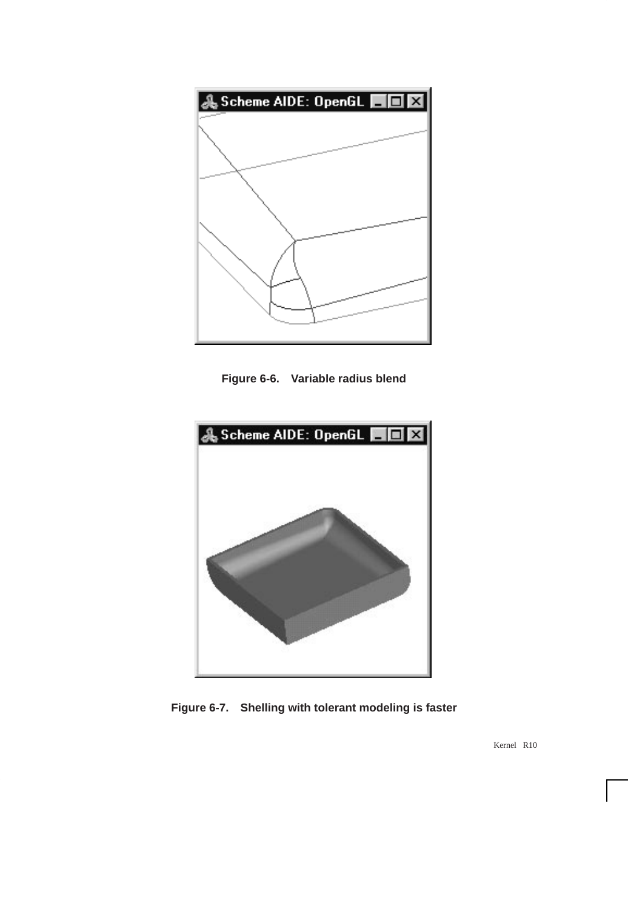

**Figure 6-6. Variable radius blend**



**Figure 6-7. Shelling with tolerant modeling is faster**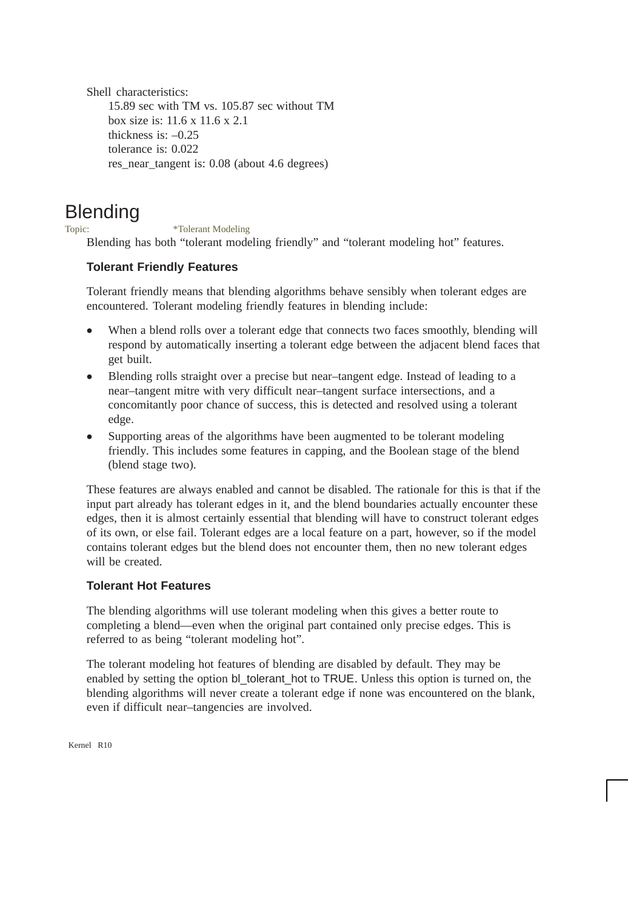Shell characteristics: 15.89 sec with TM vs. 105.87 sec without TM box size is: 11.6 x 11.6 x 2.1 thickness is: –0.25 tolerance is: 0.022 res\_near\_tangent is: 0.08 (about 4.6 degrees)

## **Blending**

Topic: \*Tolerant Modeling

Blending has both "tolerant modeling friendly" and "tolerant modeling hot" features.

#### **Tolerant Friendly Features**

Tolerant friendly means that blending algorithms behave sensibly when tolerant edges are encountered. Tolerant modeling friendly features in blending include:

- $\bullet$  When a blend rolls over a tolerant edge that connects two faces smoothly, blending will respond by automatically inserting a tolerant edge between the adjacent blend faces that get built.
- $\bullet$  Blending rolls straight over a precise but near–tangent edge. Instead of leading to a near–tangent mitre with very difficult near–tangent surface intersections, and a concomitantly poor chance of success, this is detected and resolved using a tolerant edge.
- $\bullet$  Supporting areas of the algorithms have been augmented to be tolerant modeling friendly. This includes some features in capping, and the Boolean stage of the blend (blend stage two).

These features are always enabled and cannot be disabled. The rationale for this is that if the input part already has tolerant edges in it, and the blend boundaries actually encounter these edges, then it is almost certainly essential that blending will have to construct tolerant edges of its own, or else fail. Tolerant edges are a local feature on a part, however, so if the model contains tolerant edges but the blend does not encounter them, then no new tolerant edges will be created.

### **Tolerant Hot Features**

The blending algorithms will use tolerant modeling when this gives a better route to completing a blend—even when the original part contained only precise edges. This is referred to as being "tolerant modeling hot".

The tolerant modeling hot features of blending are disabled by default. They may be enabled by setting the option bl\_tolerant\_hot to TRUE. Unless this option is turned on, the blending algorithms will never create a tolerant edge if none was encountered on the blank, even if difficult near–tangencies are involved.